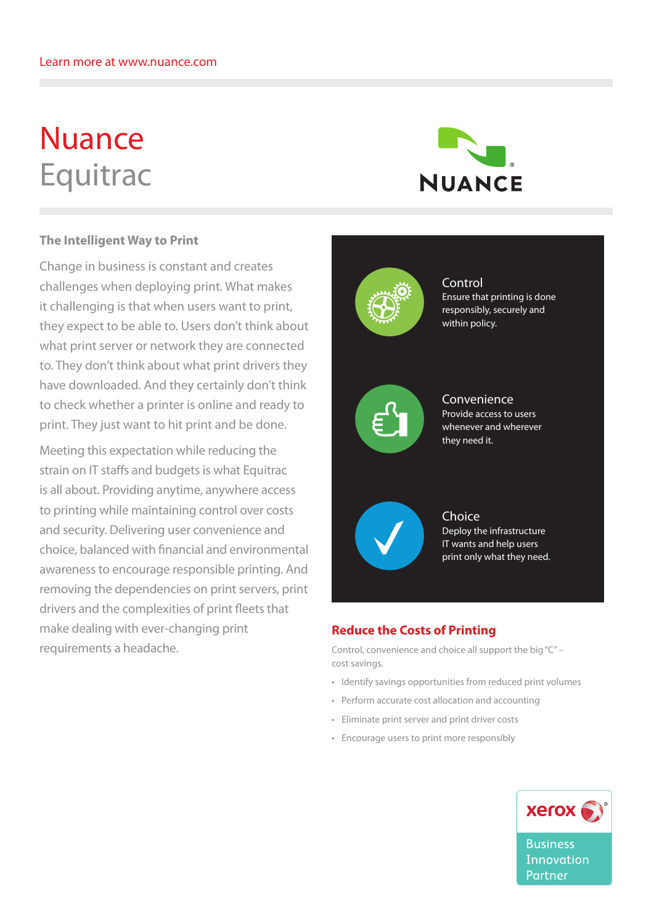# Nuance Equitrac



## **The Intelligent Way to Print**

Change in business is constant and creates challenges when deploying print. What makes it challenging is that when users want to print, they expect to be able to. Users don't think about what print server or network they are connected to. They don't think about what print drivers they have downloaded. And they certainly don't think to check whether a printer is online and ready to print. They just want to hit print and be done.

Meeting this expectation while reducing the strain on IT staffs and budgets is what Equitrac **Control** is all about. Providing anytime, anywhere access to printing while maintaining control over costs and security. Delivering user convenience and choice, balanced with financial and environmental awareness to encourage responsible printing. And removing the dependencies on print servers, print drivers and the complexities of print fleets that make dealing with ever-changing print requirements a headache. ntroi over cos dealing with whenever and whenever orint the



Control Ensure that printing is done responsibly, securely and within policy.





Choice Deploy the infrastructure IT wants and help users print only what they need.

# **Reduce the Costs of Printing**

Control, convenience and choice all support the big "C" – cost savings.

- • Identify savings opportunities from reduced print volumes
- • Perform accurate cost allocation and accounting
- • Eliminate print server and print driver costs
- • Encourage users to print more responsibly